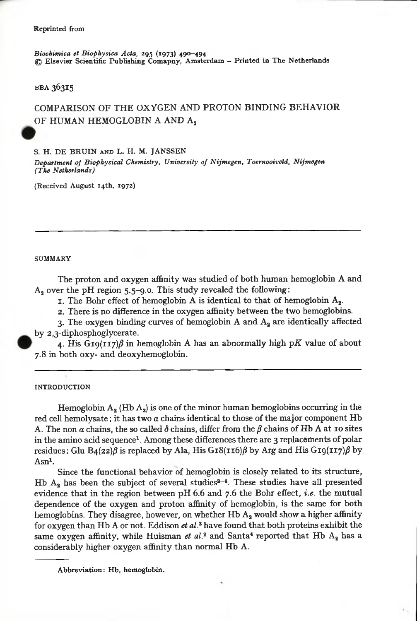*Biochim ica et Biophysica Acta,* 295 (1973) 490—494 *©* E lsevier Scientific Publishing Com apny, Am sterdam - Printed in T he N etherlands

**BBA 36315** 

# COMPARISON OF THE OXYGEN AND PROTON BINDING BEHAVIOR OF HUMAN HEMOGLOBIN A AND A2

S. H. DE BRUIN AND L. H. M. JANSSEN

*Department of Biophysical Chemistry, University of Nijmegen, Toernooiveld, Nijmegen (The Netherlands)*

(Received August 14th, 1972)

#### **SUMMARY**

The proton and oxygen affinity was studied of both human hemoglobin A and  $A_2$  over the pH region 5.5-9.0. This study revealed the following:

1. The Bohr effect of hemoglobin A is identical to that of hemoglobin  $A_2$ .

2. There is no difference in the oxygen affinity bet ween the two hemoglobins.

3. The oxygen binding curves of hemoglobin A and  $A_2$  are identically affected by 2,3-diphosphoglycerate.

4. His  $G19(117)\beta$  in hemoglobin A has an abnormally high pK value of about 7.8 in both oxy- and deoxyhemoglobin.

INTRODUCTION

Hemoglobin  $A_2$  (Hb  $A_2$ ) is one of the minor human hemoglobins occurring in the red cell hemolysate; it has two  $\alpha$  chains identical to those of the major component Hb A. The non  $\alpha$  chains, the so called  $\delta$  chains, differ from the  $\beta$  chains of Hb A at 10 sites in the amino acid sequence<sup>1</sup>. Among these differences there are 3 replacements of polar residues: Glu  $B_4(22)\beta$  is replaced by Ala, His G18(116) $\beta$  by Arg and His G19(117) $\beta$  by Asn1.

Since the functional behavior of hemoglobin is closely related to its structure, Hb  $A_2$  has been the subject of several studies<sup>2-4</sup>. These studies have all presented evidence that in the region between pH 6.6 and 7.6 the Bohr effect, *i.e.* the mutual dependence of the oxygen and proton affinity of hemoglobin, is the same for both hemoglobins. They disagree, however, on whether Hb  $A_2$  would show a higher affinity for oxygen than Hb A or not. Eddison *et al.3*have found that both proteins exhibit the same oxygen affinity, while Huisman *et*  $al$ .<sup>2</sup> and Santa<sup>4</sup> reported that Hb  $A_2$  has a considerably higher oxygen affinity than normal Hb A.

Abbreviation: Hb, hemoglobin.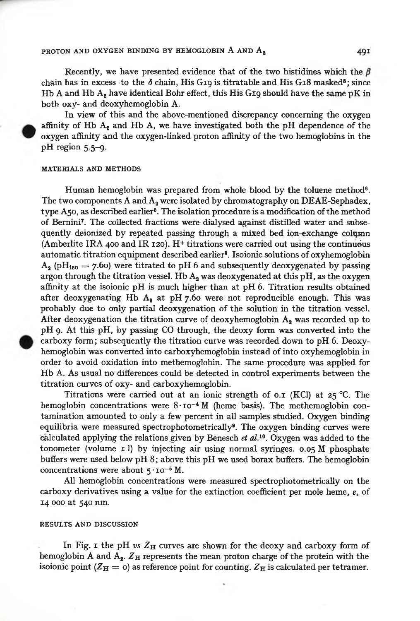## PROTON AND OXYGEN BINDING BY HEMOGLOBIN A AND  $A_2$  **491**

Recently, we have presented evidence that of the two histidines which the  $\beta$ chain has in excess to the  $\delta$  chain. His G10 is titratable and His G18 masked<sup>5</sup>; since Hb A and  $Hb$  A<sub>s</sub> have identical Bohr effect, this His G10 should have the same pK in both oxy- and deoxyhemoglobin A.

In view of this and the above-mentioned discrepancy concerning the oxygen affinity of Hb  $A_2$  and Hb A, we have investigated both the pH dependence of the oxygen affinity and the oxygen-linked proton affinity of the two hemoglobins in the pH region 5.5-9.

## MATERIALS AND METHODS

Human hemoglobin was prepared from whole blood by the toluene method®. The two components  $A$  and  $A_2$  were isolated by chromatography on DEAE-Sephadex, type A50, as described earlier<sup>5</sup>. The isolation procedure is a modification of the method of Bemini7. The collected fractions were dialysed against distüled water and subsequently deionized by repeated passing through a mixed bed ion-exchange column (Amberlite IRA 400 and IR 120). H+ titrations were carried out using the continuous automatic titration equipment described earlier8. Isoionic solutions of oxyhemoglobin  $A_2$  (pH<sub>iso</sub> = 7.60) were titrated to pH 6 and subsequently deoxygenated by passing argon through the titration vessel. Hb  $A_2$  was deoxygenated at this pH, as the oxygen affinity at the isoionic pH is much higher than at pH 6. Titration results obtained after deoxygenating Hb A, at pH  $7.60$  were not reproducible enough. This was probably due to only partial deoxygenation of the solution in the titration vessel. After deoxygenation the titration curve of deoxyhemoglobin  $A$ , was recorded up to pH 9. A t this pH, by passing CO through, the deoxy form was converted into the carboxy form; subsequently the titration curve was recorded down to pH 6. Deoxyhemoglobin was converted into carboxyhemoglobin instead of into oxyhemoglobin in order to avoid oxidation into methemoglobin. The same procedure was applied for Hb A. As usual no differences could be detected in control experiments between the titration curves of oxy- and carboxyhemoglobin.

Titrations were carried out at an ionic strength of 0.1 (KCl) at 25 °C. The hemoglobin concentrations were  $8 \cdot \text{10}^{-4}$  M (heme basis). The methemoglobin contamination amounted to ohly a few percent in all samples studied. Oxygen binding equilibria were measured spectrophotometrically<sup>9</sup>. The oxygen binding curves were calculated applying the relations given by Benesch *et al™.* Oxygen was added to the tonometer (volume 1 1) by injecting air using normal syringes. 0.05 M phosphate buffers were used below pH 8; above this pH we used borax buffers. The hemoglobin concentrations were about 5 • *io~5* M.

All hemoglobin concentrations were measured spectrophotometrically on the carboxy derivatives using a value for the extinction coefficient per mole heme,  $\varepsilon$ , of 14 000 at 540 nm.

#### RESULTS AND DISCUSSION

In Fig. 1 the pH  $v_s Z_H$  curves are shown for the deoxy and carboxy form of hemoglobin A and  $A_2$ .  $Z_H$  represents the mean proton charge of the protein with the isoionic point ( $Z_{\rm H} = 0$ ) as reference point for counting.  $Z_{\rm H}$  is calculated per tetramer.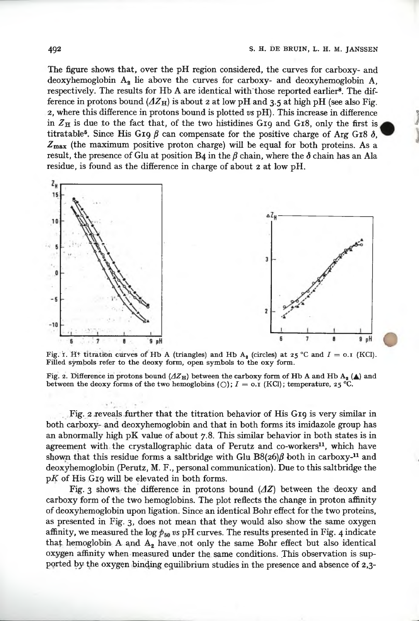The figure shows that, over the pH region considered, the curves for carboxy- and deoxyhemoglobin  $A_2$  lie above the curves for carboxy- and deoxyhemoglobin  $A$ . respectively. The results for Hb A are identical with those reported earlier<sup>8</sup>. The difference in protons bound  $(\Delta Z_H)$  is about 2 at low pH and 3.5 at high pH (see also Fig. 2, where this difïerence in protons bound is plotted *vs* pH). This increase in difference in  $Z_H$  is due to the fact that, of the two histidines G19 and G18, only the first is titratable<sup>5</sup>. Since His G19  $\beta$  can compensate for the positive charge of Arg G18  $\delta$ ,  $Z_{\text{max}}$  (the maximum positive proton charge) will be equal for both proteins. As a result, the presence of Glu at position B4 in the  $\beta$  chain, where the  $\delta$  chain has an Ala residue, is found as the difference in charge of about 2 at low pH.



Fig. i. H<sup>+</sup> titration curves of Hb A (triangles) and Hb A<sub>2</sub> (circles) at 25 °C and  $I = 0.1$  (KCl). Filled symbols refer to the deoxy form, open symbols to the oxy form.

Fig. 2. Difference in protons bound  $(AZ_H)$  between the carboxy form of Hb A and Hb A<sub>3</sub> (A) and between the deoxy forms of the two hemoglobins (O);  $I = 0.1$  (KCl); temperature, 25 °C.

Fig. 2 reveals further that the titration behavior of His G19 is very similar in both carboxy- and deoxyhemoglobin and that in both forms its imidazole group has an abnormally high pK value of about 7.8. This similar behavior in both states is in agreement with the crystallographic data of Perutz and co-workers<sup>11</sup>, which have shown that this residue forms a saltbridge with Glu B8(26) $\beta$  both in carboxy-<sup>11</sup> and deoxyhemoglobin (Perutz, M. F., personal communication). Due to this saltbridge the p*K* of His G19 will be elevated in both forms.

Fig. 3 shows the difference in protons bound  $(\Delta Z)$  between the deoxy and carboxy form of the two hemoglobins. The plot reflects the change in proton affinity of deoxyhemoglobin upon ligation. Since an identical Bohr effect for the two proteins, as presented in Fig. 3, does not mean that they would also show the same oxygen affinity, we measured the log  $p_{50}$  vs pH curves. The results presented in Fig. 4 indicate that hemoglobin A and  $A_2$  have not only the same Bohr effect but also identical oxygen affinity when measured under the same conditions. This observation is supported by the oxygen binding equilibrium studies in the presence and absence of  $2,3$ -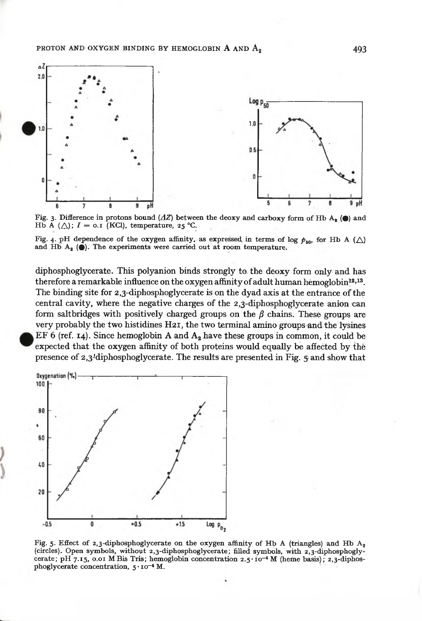

Fig. 3. Difference in protons bound ( $\Delta Z$ ) between the decxy and carboxy form of Hb A<sub>s</sub> ( $\bullet$ ) and Hb A ( $\triangle$ ); I = 0.1 (KCl), temperature, 25 °C.

Fig. 4. pH dependence of the oxygen affinity, as expressed in terms of log  $p_{50}$ , for Hb A ( $\triangle$ ) and Hb  $A_2$  ( $\bullet$ ). The experiments were carried out at room temperature.

diphosphoglycerate. This polyanion binds strongly to the deoxy form only and has therefore a remarkable influence on the oxygen affinity of adult human hemoglobin<sup>12,13</sup>. The binding site for 2,3-diphosphoglycerate is on the dyad axis at the entrance of the central cavity, where the negative charges of the 2,3-diphosphoglycerate anion can form saltbridges with positively charged groups on the  $\beta$  chains. These groups are very probably the two histidines H21, the two terminal amino groups and the lysines EF 6 (ref. 14). Since hemoglobin A and  $A_2$  have these groups in common, it could be expected that the oxygen affinity of both proteins would equally be affected by the presence of 2,3<sup>1</sup> diphosphoglycerate. The results are presented in Fig. 5 and show that



Fig. 5. Effect of 2,3-diphosphoglycerate on the oxygen affinity of Hb A (triangles) and Hb  $A_2$ (circles). Open symbols, without 2,3-diphosphoglycerate; filled symbols, with 2,3-diphosphoglycerate; pH 7.15, 0.01 M Bis Tris; hemoglobin concentration  $2.5 \cdot 10^{-4}$  M (heme basis);  $2.3$ -diphosphoglycerate concentration, 5 . 10<sup>-4</sup> M.